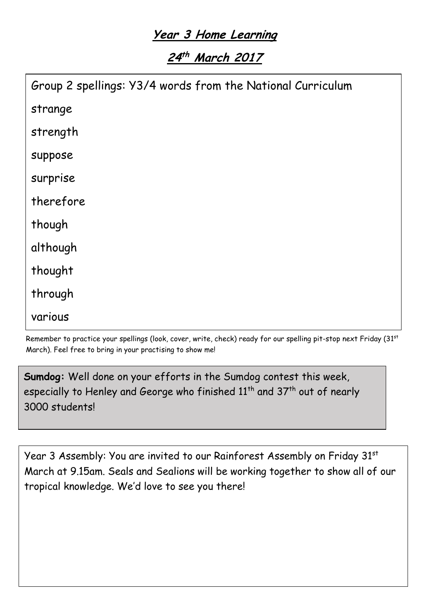## **Year 3 Home Learning**

# **24 th March 2017**

| Group 2 spellings: Y3/4 words from the National Curriculum |  |
|------------------------------------------------------------|--|
| strange                                                    |  |
| strength                                                   |  |
| suppose                                                    |  |
| surprise                                                   |  |
| therefore                                                  |  |
| though                                                     |  |
| although                                                   |  |
| thought                                                    |  |
| through                                                    |  |
| various                                                    |  |

Remember to practice your spellings (look, cover, write, check) ready for our spelling pit-stop next Friday (31st March). Feel free to bring in your practising to show me!

**Sumdog:** Well done on your efforts in the Sumdog contest this week, especially to Henley and George who finished 11<sup>th</sup> and 37<sup>th</sup> out of nearly 3000 students!

Year 3 Assembly: You are invited to our Rainforest Assembly on Friday 31st March at 9.15am. Seals and Sealions will be working together to show all of our tropical knowledge. We'd love to see you there!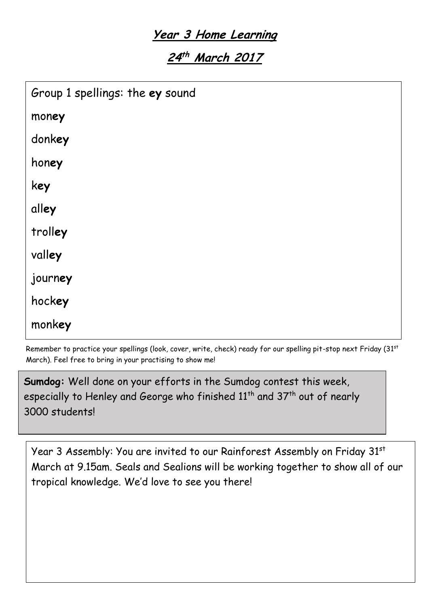## **Year 3 Home Learning**

**24 th March 2017**

| Group 1 spellings: the ey sound |
|---------------------------------|
| money                           |
| donkey                          |
| honey                           |
| key                             |
| alley                           |
| trolley                         |
| valley                          |
| journey                         |
| hockey                          |
| monkey                          |

Remember to practice your spellings (look, cover, write, check) ready for our spelling pit-stop next Friday (31st March). Feel free to bring in your practising to show me!

**Sumdog:** Well done on your efforts in the Sumdog contest this week, especially to Henley and George who finished 11<sup>th</sup> and 37<sup>th</sup> out of nearly 3000 students!

Year 3 Assembly: You are invited to our Rainforest Assembly on Friday 31st March at 9.15am. Seals and Sealions will be working together to show all of our tropical knowledge. We'd love to see you there!